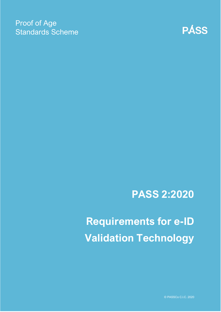### Proof of Age Standards Scheme



## **PASS 2:2020**

# **Requirements for e-ID Validation Technology**

© PASSCo C.I.C. 2020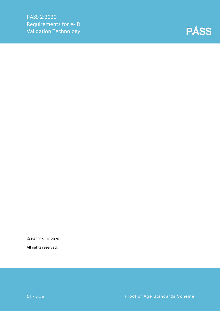

© PASSCo CIC 2020

All rights reserved.

**1** | Page **Proof of Age Standards Scheme**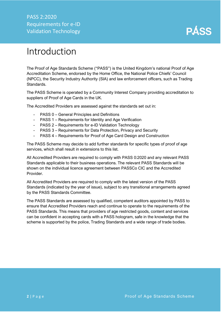

### <span id="page-2-0"></span>Introduction

The Proof of Age Standards Scheme ("PASS") is the United Kingdom's national Proof of Age Accreditation Scheme, endorsed by the Home Office, the National Police Chiefs' Council (NPCC), the Security Industry Authority (SIA) and law enforcement officers, such as Trading Standards.

The PASS Scheme is operated by a Community Interest Company providing accreditation to suppliers of Proof of Age Cards in the UK.

The Accredited Providers are assessed against the standards set out in:

- PASS 0 General Principles and Definitions
- PASS 1 Requirements for Identity and Age Verification
- PASS 2 Requirements for e-ID Validation Technology
- PASS 3 Requirements for Data Protection, Privacy and Security
- PASS 4 Requirements for Proof of Age Card Design and Construction

The PASS Scheme may decide to add further standards for specific types of proof of age services, which shall result in extensions to this list.

All Accredited Providers are required to comply with PASS 0:2020 and any relevant PASS Standards applicable to their business operations. The relevant PASS Standards will be shown on the individual licence agreement between PASSCo CIC and the Accredited Provider.

All Accredited Providers are required to comply with the latest version of the PASS Standards (indicated by the year of issue), subject to any transitional arrangements agreed by the PASS Standards Committee.

The PASS Standards are assessed by qualified, competent auditors appointed by PASS to ensure that Accredited Providers reach and continue to operate to the requirements of the PASS Standards. This means that providers of age restricted goods, content and services can be confident in accepting cards with a PASS hologram, safe in the knowledge that the scheme is supported by the police, Trading Standards and a wide range of trade bodies.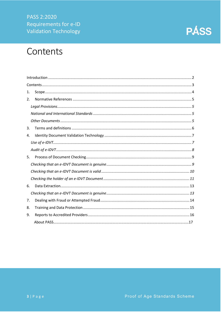PASS 2:2020 Requirements for e-ID **Validation Technology** 

### <span id="page-3-0"></span>Contents

| 1. |  |  |
|----|--|--|
| 2. |  |  |
|    |  |  |
|    |  |  |
|    |  |  |
| 3. |  |  |
| 4. |  |  |
|    |  |  |
|    |  |  |
| 5. |  |  |
|    |  |  |
|    |  |  |
|    |  |  |
| 6. |  |  |
|    |  |  |
| 7. |  |  |
| 8. |  |  |
| 9. |  |  |
|    |  |  |

**PÁSS**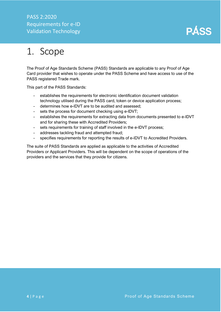### PASS 2:2020 Requirements for e-ID Validation Technology



### <span id="page-4-0"></span>1. Scope

The Proof of Age Standards Scheme (PASS) Standards are applicable to any Proof of Age Card provider that wishes to operate under the PASS Scheme and have access to use of the PASS registered Trade mark.

This part of the PASS Standards:

- establishes the requirements for electronic identification document validation technology utilised during the PASS card, token or device application process;
- determines how e-IDVT are to be audited and assessed;
- sets the process for document checking using e-IDVT;
- establishes the requirements for extracting data from documents presented to e-IDVT and for sharing these with Accredited Providers;
- sets requirements for training of staff involved in the e-IDVT process;
- addresses tackling fraud and attempted fraud;
- specifies requirements for reporting the results of e-IDVT to Accredited Providers.

The suite of PASS Standards are applied as applicable to the activities of Accredited Providers or Applicant Providers. This will be dependent on the scope of operations of the providers and the services that they provide for citizens.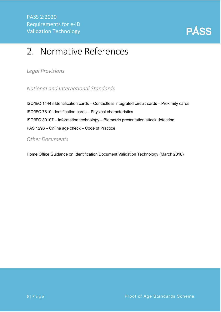

### <span id="page-5-0"></span>2. Normative References

<span id="page-5-1"></span>*Legal Provisions*

<span id="page-5-2"></span>*National and International Standards*

ISO/IEC 14443 Identification cards – Contactless integrated circuit cards – Proximity cards ISO/IEC 7810 Identification cards – Physical characteristics ISO/IEC 30107 – Information technology – Biometric presentation attack detection PAS 1296 – Online age check – Code of Practice

<span id="page-5-3"></span>*Other Documents*

Home Office Guidance on Identification Document Validation Technology (March 2018)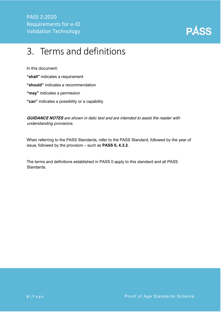

### <span id="page-6-0"></span>3. Terms and definitions

In this document:

**"shall"** indicates a requirement

**"should"** indicates a recommendation

**"may"** indicates a permission

**"can"** indicates a possibility or a capability

**GUIDANCE NOTES** are shown in italic text and are intended to assist the reader with understanding provisions.

When referring to the PASS Standards, refer to the PASS Standard, followed by the year of issue, followed by the provision – such as **PASS 0, 4.3.2**.

The terms and definitions established in PASS 0 apply to this standard and all PASS Standards.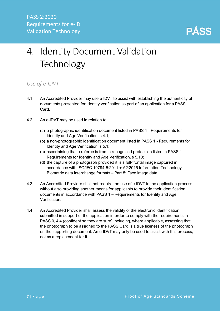

# <span id="page-7-0"></span>4. Identity Document Validation **Technology**

### <span id="page-7-1"></span>*Use of e-IDVT*

- 4.1 An Accredited Provider may use e-IDVT to assist with establishing the authenticity of documents presented for identity verification as part of an application for a PASS Card.
- 4.2 An e-IDVT may be used in relation to:
	- (a) a photographic identification document listed in PASS 1 Requirements for Identity and Age Verification, s 4.1;
	- (b) a non-photographic identification document listed in PASS 1 Requirements for Identity and Age Verification, s 5.1;
	- (c) ascertaining that a referee is from a recognised profession listed in PASS 1 Requirements for Identity and Age Verification, s 5.10;
	- (d) the capture of a photograph provided it is a full-frontal image captured in accordance with ISO/IEC 19794-5:2011 + A2:2015 Information Technology – Biometric data interchange formats – Part 5: Face image data.
- 4.3 An Accredited Provider shall not require the use of e-IDVT in the application process without also providing another means for applicants to provide their identification documents in accordance with PASS 1 – Requirements for Identity and Age Verification.
- 4.4 An Accredited Provider shall assess the validity of the electronic identification submitted in support of the application in order to comply with the requirements in PASS 0, 4.4 (confident so they are sure) including, where applicable, assessing that the photograph to be assigned to the PASS Card is a true likeness of the photograph on the supporting document. An e-IDVT may only be used to assist with this process, not as a replacement for it.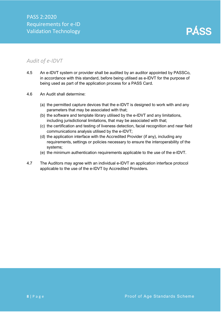**PÁSS** 

### <span id="page-8-0"></span>*Audit of e-IDVT*

- 4.5 An e-IDVT system or provider shall be audited by an auditor appointed by PASSCo, in accordance with this standard, before being utilised as e-IDVT for the purpose of being used as part of the application process for a PASS Card.
- 4.6 An Audit shall determine:
	- (a) the permitted capture devices that the e-IDVT is designed to work with and any parameters that may be associated with that;
	- (b) the software and template library utilised by the e-IDVT and any limitations, including jurisdictional limitations, that may be associated with that;
	- (c) the certification and testing of liveness detection, facial recognition and near field communications analysis utilised by the e-IDVT;
	- (d) the application interface with the Accredited Provider (if any), including any requirements, settings or policies necessary to ensure the interoperability of the systems;
	- (e) the minimum authentication requirements applicable to the use of the e-IDVT.
- 4.7 The Auditors may agree with an individual e-IDVT an application interface protocol applicable to the use of the e-IDVT by Accredited Providers.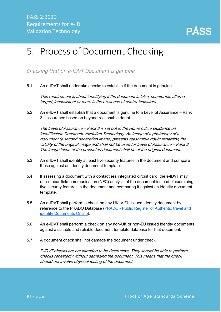

### <span id="page-9-0"></span>5. Process of Document Checking

<span id="page-9-1"></span>*Checking that an e-IDVT Document is genuine*

5.1 An e-IDVT shall undertake checks to establish if the document is genuine.

This requirement is about identifying if the document is false, counterfeit, altered, forged, inconsistent or there is the presence of contra-indicators.

5.2 An e-IDVT shall establish that a document is genuine to a Level of Assurance – Rank 3 – assurance based on beyond reasonable doubt.

The Level of Assurance – Rank 3 is set out in the Home Office Guidance on Identification Document Validation Technology. An image of a photocopy of a document (a second generation image) presents reasonable doubt regarding the validity of the original image and shall not be used for Level of Assurance – Rank 3. The image taken of the presented document shall be of the original document.

- 5.3 An e-IDVT shall identify at least five security features in the document and compare these against an identity document template.
- 5.4 If assessing a document with a contactless integrated circuit card, the e-IDVT may utilise near field communication (NFC) analysis of the document instead of examining five security features in the document and comparing it against an identity document template.
- 5.5 An e-IDVT shall perform a check on any UK or EU issued identity document by reference to the PRADO Database (PRADO - [Public Register of Authentic travel and](https://www.consilium.europa.eu/prado/en/prado-start-page.html)  [identity Documents Online\)](https://www.consilium.europa.eu/prado/en/prado-start-page.html).
- 5.6 An e-IDVT shall perform a check on any non-UK or non-EU issued identity documents against a suitable and reliable document template database for that document.
- 5.7 A document check shall not damage the document under check.

E-IDVT checks are not intended to be destructive. They should be able to perform checks repeatedly without damaging the document. This means that the check should not involve physical testing of the document.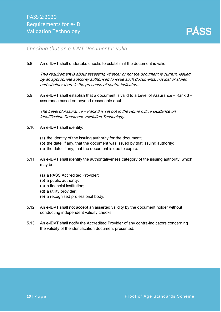

#### <span id="page-10-0"></span>*Checking that an e-IDVT Document is valid*

5.8 An e-IDVT shall undertake checks to establish if the document is valid.

This requirement is about assessing whether or not the document is current, issued by an appropriate authority authorised to issue such documents, not lost or stolen and whether there is the presence of contra-indicators.

5.9 An e-IDVT shall establish that a document is valid to a Level of Assurance – Rank 3 – assurance based on beyond reasonable doubt.

The Level of Assurance – Rank 3 is set out in the Home Office Guidance on Identification Document Validation Technology.

- 5.10 An e-IDVT shall identify:
	- (a) the identity of the issuing authority for the document;
	- (b) the date, if any, that the document was issued by that issuing authority;
	- (c) the date, if any, that the document is due to expire.
- 5.11 An e-IDVT shall identify the authoritativeness category of the issuing authority, which may be:
	- (a) a PASS Accredited Provider;
	- (b) a public authority;
	- (c) a financial institution;
	- (d) a utility provider;
	- (e) a recognised professional body.
- 5.12 An e-IDVT shall not accept an asserted validity by the document holder without conducting independent validity checks.
- 5.13 An e-IDVT shall notify the Accredited Provider of any contra-indicators concerning the validity of the identification document presented.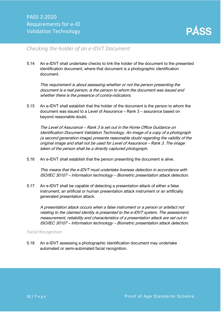

### <span id="page-11-0"></span>*Checking the holder of an e-IDVT Document*

5.14 An e-IDVT shall undertake checks to link the holder of the document to the presented identification document, where that document is a photographic identification document.

This requirement is about assessing whether or not the person presenting the document is a real person, is the person to whom the document was issued and whether there is the presence of contra-indicators.

5.15 An e-IDVT shall establish that the holder of the document is the person to whom the document was issued to a Level of Assurance – Rank 3 – assurance based on beyond reasonable doubt.

The Level of Assurance – Rank 3 is set out in the Home Office Guidance on Identification Document Validation Technology. An image of a copy of <sup>a</sup> photograph (a second generation image) presents reasonable doubt regarding the validity of the original image and shall not be used for Level of Assurance – Rank 3. The image taken of the person shall be a directly captured photograph.

5.16 An e-IDVT shall establish that the person presenting the document is alive.

This means that the e-IDVT must undertake liveness detection in accordance with ISO/IEC 30107 – Information technology – Biometric presentation attack detection.

5.17 An e-IDVT shall be capable of detecting a presentation attack of either a false instrument, an artificial or human presentation attack instrument or an artificially generated presentation attack.

A presentation attack occurs when a false instrument or a person or artefact not relating to the claimed identity is presented to the e-IDVT system. The assessment, measurement, reliability and characteristics of a presentation attack are set out in ISO/IEC 30107 – Information technology – Biometric presentation attack detection.

#### *Facial Recognition*

5.18 An e-IDVT assessing a photographic identification document may undertake automated or semi-automated facial recognition.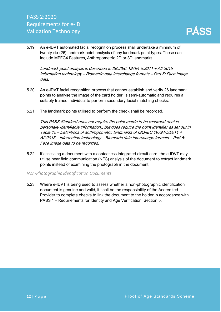5.19 An e-IDVT automated facial recognition process shall undertake a minimum of twenty-six (26) landmark point analysis of any landmark point types. These can include MPEG4 Features, Anthropometric 2D or 3D landmarks.

Landmark point analysis is described in ISO/IEC 19794-5:2011 + A2:2015 – Information technology – Biometric data interchange formats – Part 5: Face image data.

- 5.20 An e-IDVT facial recognition process that cannot establish and verify 26 landmark points to analyse the image of the card holder, is semi-automatic and requires a suitably trained individual to perform secondary facial matching checks.
- 5.21 The landmark points utilised to perform the check shall be recorded.

This PASS Standard does not require the point metric to be recorded (that is personally identifiable information), but does require the point identifier as set out in Table 15 – Definitions of anthropometric landmarks of ISO/IEC 19794-5:2011 + A2:2015 – Information technology – Biometric data interchange formats – Part 5: Face image data to be recorded.

5.22 If assessing a document with a contactless integrated circuit card, the e-IDVT may utilise near field communication (NFC) analysis of the document to extract landmark points instead of examining the photograph in the document.

#### *Non-Photographic Identification Documents*

5.23 Where e-IDVT is being used to assess whether a non-photographic identification document is genuine and valid, it shall be the responsibility of the Accredited Provider to complete checks to link the document to the holder in accordance with PASS 1 – Requirements for Identity and Age Verification, Section 5.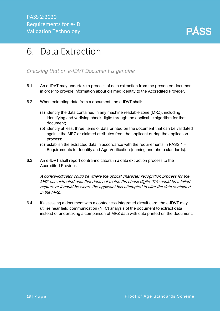

### <span id="page-13-0"></span>6. Data Extraction

### <span id="page-13-1"></span>*Checking that an e-IDVT Document is genuine*

- 6.1 An e-IDVT may undertake a process of data extraction from the presented document in order to provide information about claimed identity to the Accredited Provider.
- 6.2 When extracting data from a document, the e-IDVT shall:
	- (a) identify the data contained in any machine readable zone (MRZ), including identifying and verifying check digits through the applicable algorithm for that document;
	- (b) identify at least three items of data printed on the document that can be validated against the MRZ or claimed attributes from the applicant during the application process;
	- (c) establish the extracted data in accordance with the requirements in PASS 1 Requirements for Identity and Age Verification (naming and photo standards).
- 6.3 An e-IDVT shall report contra-indicators in a data extraction process to the Accredited Provider.

A contra-indicator could be where the optical character recognition process for the MRZ has extracted data that does not match the check digits. This could be a failed capture or it could be where the applicant has attempted to alter the data contained in the MRZ.

6.4 If assessing a document with a contactless integrated circuit card, the e-IDVT may utilise near field communication (NFC) analysis of the document to extract data instead of undertaking a comparison of MRZ data with data printed on the document.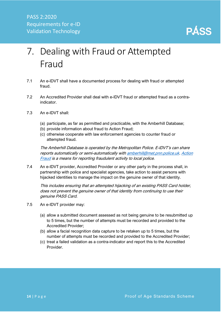

# <span id="page-14-0"></span>7. Dealing with Fraud or Attempted Fraud

- 7.1 An e-IDVT shall have a documented process for dealing with fraud or attempted fraud.
- 7.2 An Accredited Provider shall deal with e-IDVT fraud or attempted fraud as a contraindicator.
- 7.3 An e-IDVT shall:
	- (a) participate, as far as permitted and practicable, with the Amberhill Database;
	- (b) provide information about fraud to Action Fraud;
	- (c) otherwise cooperate with law enforcement agencies to counter fraud or attempted fraud.

The Amberhill Database is operated by the Metropolitan Police. E-IDVT's can share reports automatically or semi-automatically wit[h amberhill@met.pnn.police.uk.](mailto:amberhill@met.pnn.police.uk) [Action](https://www.actionfraud.police.uk/)  [Fraud](https://www.actionfraud.police.uk/) is a means for reporting fraudulent activity to local police.

7.4 An e-IDVT provider, Accredited Provider or any other party in the process shall, in partnership with police and specialist agencies, take action to assist persons with hijacked identities to manage the impact on the genuine owner of that identity.

This includes ensuring that an attempted hijacking of an existing PASS Card holder, does not prevent the genuine owner of that identity from continuing to use their genuine PASS Card.

- 7.5 An e-IDVT provider may:
	- (a) allow a submitted document assessed as not being genuine to be resubmitted up to 5 times, but the number of attempts must be recorded and provided to the Accredited Provider;
	- (b) allow a facial recognition data capture to be retaken up to 5 times, but the number of attempts must be recorded and provided to the Accredited Provider;
	- (c) treat a failed validation as a contra-indicator and report this to the Accredited Provider.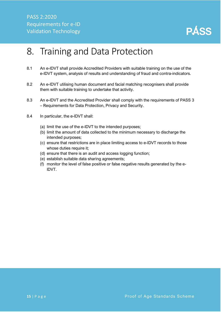

### <span id="page-15-0"></span>8. Training and Data Protection

- 8.1 An e-IDVT shall provide Accredited Providers with suitable training on the use of the e-IDVT system, analysis of results and understanding of fraud and contra-indicators.
- 8.2 An e-IDVT utilising human document and facial matching recognisers shall provide them with suitable training to undertake that activity.
- 8.3 An e-IDVT and the Accredited Provider shall comply with the requirements of PASS 3 – Requirements for Data Protection, Privacy and Security.
- 8.4 In particular, the e-IDVT shall:
	- (a) limit the use of the e-IDVT to the intended purposes;
	- (b) limit the amount of data collected to the minimum necessary to discharge the intended purposes;
	- (c) ensure that restrictions are in place limiting access to e-IDVT records to those whose duties require it:
	- (d) ensure that there is an audit and access logging function;
	- (e) establish suitable data sharing agreements;
	- (f) monitor the level of false positive or false negative results generated by the e-IDVT.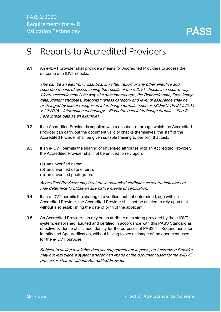

### <span id="page-16-0"></span>9. Reports to Accredited Providers

9.1 An e-IDVT provider shall provide a means for Accredited Providers to access the outcome of e-IDVT checks.

This can be an electronic dashboard, written report or any other effective and recorded means of disseminating the results of the e-IDVT checks in a secure way. Where dissemination is by way of a data interchange, the Biometric data, Face Image data, identity attributes, authoritativeness category and level of assurance shall be exchanged by use of recognised interchange formats (such as ISO/IEC 19794-5:2011 + A2:2015 – Information technology – Biometric data interchange formats – Part 5: Face image data as an example).

- 9.2 If an Accredited Provider is supplied with a dashboard through which the Accredited Provider can carry out the document validity checks themselves, the staff of the Accredited Provider shall be given suitable training to perform that task.
- 9.3 If an e-IDVT permits the sharing of unverified attributes with an Accredited Provider, the Accredited Provider shall not be entitled to rely upon:
	- (a) an unverified name;
	- (b) an unverified date of birth;
	- (c) an unverified photograph.

Accredited Providers may treat these unverified attributes as contra-indicators or may determine to utilise an alternative means of verification.

- 9.4 If an e-IDVT permits the sharing of a verified, but not determined, age with an Accredited Provider, the Accredited Provider shall not be entitled to rely upon that without also establishing the date of birth of the applicant.
- 9.5 An Accredited Provider can rely on an attribute data string provided by the e-IDVT system, established, audited and certified in accordance with this PASS Standard as effective evidence of claimed identity for the purposes of PASS 1 – Requirements for Identity and Age Verification, without having to see an image of the document used for the e-IDVT purpose.

Subject to having a suitable data sharing agreement in place, an Accredited Provider may put into place a system whereby an image of the document used for the e-IDVT process is shared with the Accredited Provider.